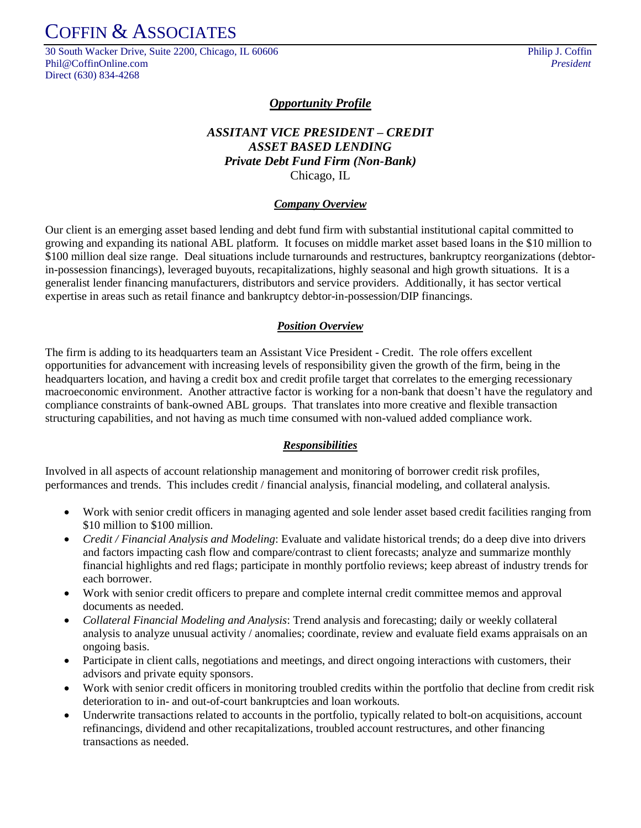## COFFIN & ASSOCIATES

30 South Wacker Drive, Suite 2200, Chicago, IL 60606 Philip J. Coffin Phil@CoffinOnline.com *President* Direct (630) 834-4268

### *Opportunity Profile*

## *ASSITANT VICE PRESIDENT – CREDIT ASSET BASED LENDING Private Debt Fund Firm (Non-Bank)* Chicago, IL

#### *Company Overview*

Our client is an emerging asset based lending and debt fund firm with substantial institutional capital committed to growing and expanding its national ABL platform. It focuses on middle market asset based loans in the \$10 million to \$100 million deal size range. Deal situations include turnarounds and restructures, bankruptcy reorganizations (debtorin-possession financings), leveraged buyouts, recapitalizations, highly seasonal and high growth situations. It is a generalist lender financing manufacturers, distributors and service providers. Additionally, it has sector vertical expertise in areas such as retail finance and bankruptcy debtor-in-possession/DIP financings.

#### *Position Overview*

The firm is adding to its headquarters team an Assistant Vice President - Credit. The role offers excellent opportunities for advancement with increasing levels of responsibility given the growth of the firm, being in the headquarters location, and having a credit box and credit profile target that correlates to the emerging recessionary macroeconomic environment. Another attractive factor is working for a non-bank that doesn't have the regulatory and compliance constraints of bank-owned ABL groups. That translates into more creative and flexible transaction structuring capabilities, and not having as much time consumed with non-valued added compliance work.

#### *Responsibilities*

Involved in all aspects of account relationship management and monitoring of borrower credit risk profiles, performances and trends. This includes credit / financial analysis, financial modeling, and collateral analysis.

- Work with senior credit officers in managing agented and sole lender asset based credit facilities ranging from \$10 million to \$100 million.
- *Credit / Financial Analysis and Modeling*: Evaluate and validate historical trends; do a deep dive into drivers and factors impacting cash flow and compare/contrast to client forecasts; analyze and summarize monthly financial highlights and red flags; participate in monthly portfolio reviews; keep abreast of industry trends for each borrower.
- Work with senior credit officers to prepare and complete internal credit committee memos and approval documents as needed.
- *Collateral Financial Modeling and Analysis*: Trend analysis and forecasting; daily or weekly collateral analysis to analyze unusual activity / anomalies; coordinate, review and evaluate field exams appraisals on an ongoing basis.
- Participate in client calls, negotiations and meetings, and direct ongoing interactions with customers, their advisors and private equity sponsors.
- Work with senior credit officers in monitoring troubled credits within the portfolio that decline from credit risk deterioration to in- and out-of-court bankruptcies and loan workouts.
- Underwrite transactions related to accounts in the portfolio, typically related to bolt-on acquisitions, account refinancings, dividend and other recapitalizations, troubled account restructures, and other financing transactions as needed.